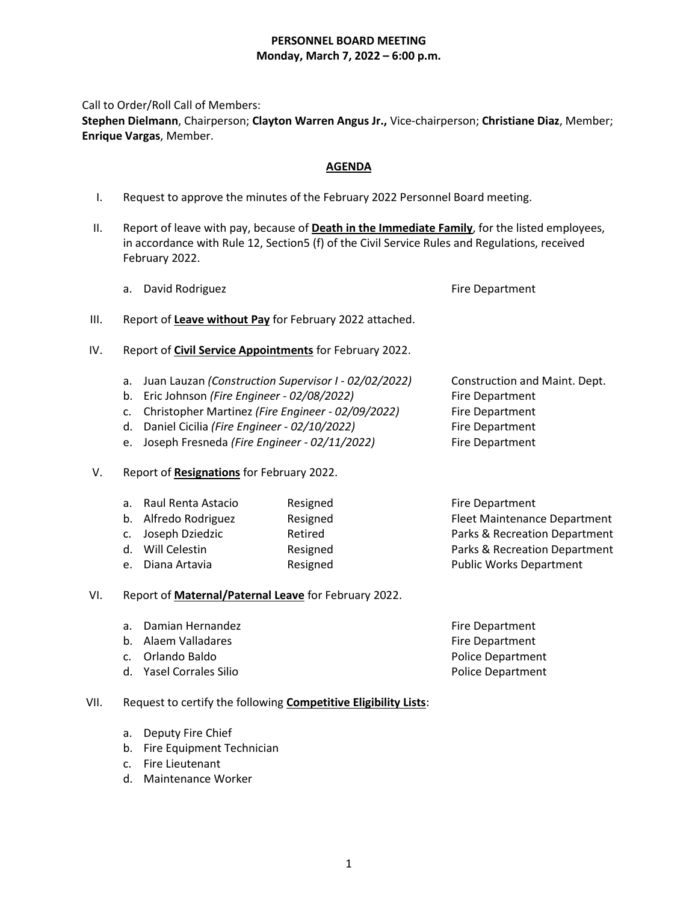### **PERSONNEL BOARD MEETING Monday, March 7, 2022 – 6:00 p.m.**

Call to Order/Roll Call of Members:

**Stephen Dielmann**, Chairperson; **Clayton Warren Angus Jr.,** Vice-chairperson; **Christiane Diaz**, Member; **Enrique Vargas**, Member.

# **AGENDA**

- I. Request to approve the minutes of the February 2022 Personnel Board meeting.
- II. Report of leave with pay, because of **Death in the Immediate Family**, for the listed employees, in accordance with Rule 12, Section5 (f) of the Civil Service Rules and Regulations, received February 2022.
	- a. David Rodriguez **Fire Department**

- III. Report of **Leave without Pay** for February 2022 attached.
- IV. Report of **Civil Service Appointments** for February 2022.
	- a. Juan Lauzan *(Construction Supervisor I - 02/02/2022)* Construction and Maint. Dept.
	- b. Eric Johnson *(Fire Engineer - 02/08/2022)* Fire Department
	- c. Christopher Martinez *(Fire Engineer - 02/09/2022)* Fire Department
	- d. Daniel Cicilia *(Fire Engineer - 02/10/2022)* Fire Department
	- e. Joseph Fresneda *(Fire Engineer - 02/11/2022)* Fire Department
- V. Report of **Resignations** for February 2022.

| a. | Raul Renta Astacio   | Resigned |
|----|----------------------|----------|
|    | b. Alfredo Rodriguez | Resigned |
|    | c. Joseph Dziedzic   | Retired  |
|    | d. Will Celestin     | Resigned |
| e. | Diana Artavia        | Resigned |

Fire Department Fleet Maintenance Department Parks & Recreation Department Parks & Recreation Department Public Works Department

# VI. Report of **Maternal/Paternal Leave** for February 2022.

a. Damian Hernandez **Firmandez** Fire Department b. Alaem Valladares **Fire Department** c. Orlando Baldo Police Department d. Yasel Corrales Silio **Police Department** 

# VII. Request to certify the following **Competitive Eligibility Lists**:

- a. Deputy Fire Chief
- b. Fire Equipment Technician
- c. Fire Lieutenant
- d. Maintenance Worker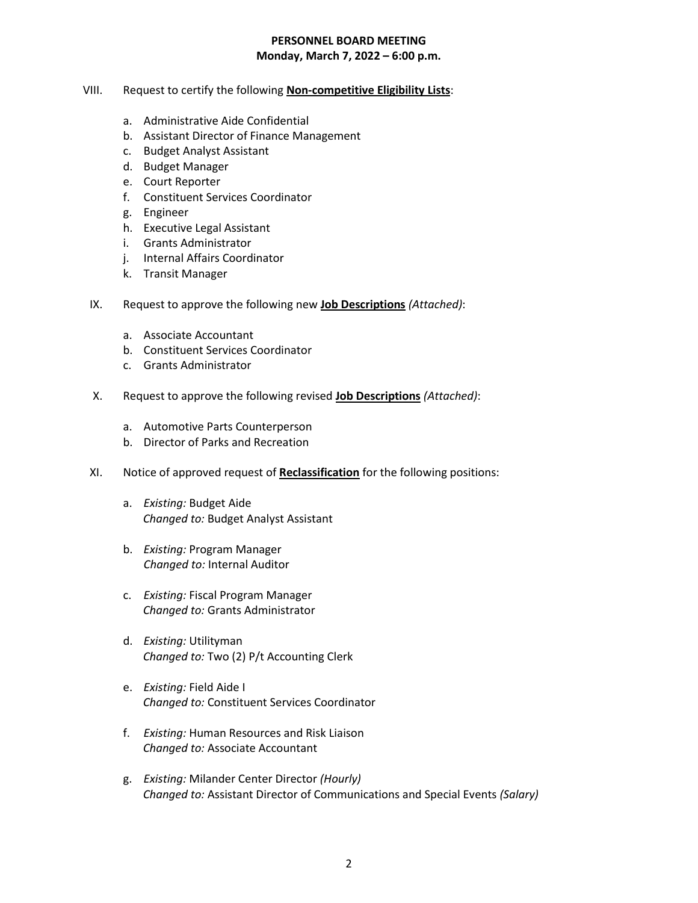#### **PERSONNEL BOARD MEETING Monday, March 7, 2022 – 6:00 p.m.**

- VIII. Request to certify the following **Non-competitive Eligibility Lists**:
	- a. Administrative Aide Confidential
	- b. Assistant Director of Finance Management
	- c. Budget Analyst Assistant
	- d. Budget Manager
	- e. Court Reporter
	- f. Constituent Services Coordinator
	- g. Engineer
	- h. Executive Legal Assistant
	- i. Grants Administrator
	- j. Internal Affairs Coordinator
	- k. Transit Manager
- IX. Request to approve the following new **Job Descriptions** *(Attached)*:
	- a. Associate Accountant
	- b. Constituent Services Coordinator
	- c. Grants Administrator
- X. Request to approve the following revised **Job Descriptions** *(Attached)*:
	- a. Automotive Parts Counterperson
	- b. Director of Parks and Recreation
- XI. Notice of approved request of **Reclassification** for the following positions:
	- a. *Existing:* Budget Aide *Changed to:* Budget Analyst Assistant
	- b. *Existing:* Program Manager  *Changed to:* Internal Auditor
	- c. *Existing:* Fiscal Program Manager *Changed to:* Grants Administrator
	- d. *Existing:* Utilityman *Changed to:* Two (2) P/t Accounting Clerk
	- e. *Existing:* Field Aide I *Changed to:* Constituent Services Coordinator
	- f. *Existing:* Human Resources and Risk Liaison *Changed to:* Associate Accountant
	- g. *Existing:* Milander Center Director *(Hourly) Changed to:* Assistant Director of Communications and Special Events *(Salary)*